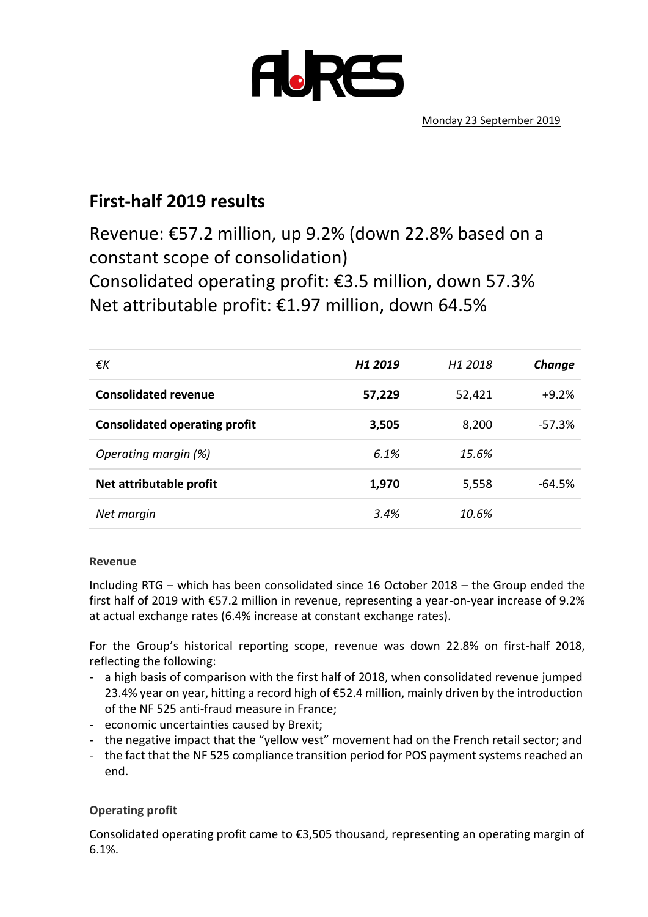

# **First-half 2019 results**

Revenue: €57.2 million, up 9.2% (down 22.8% based on a constant scope of consolidation) Consolidated operating profit: €3.5 million, down 57.3% Net attributable profit: €1.97 million, down 64.5%

| €K                                   | H <sub>1</sub> 2019 | H1 2018 | Change   |
|--------------------------------------|---------------------|---------|----------|
| <b>Consolidated revenue</b>          | 57,229              | 52,421  | $+9.2%$  |
| <b>Consolidated operating profit</b> | 3,505               | 8,200   | $-57.3%$ |
| Operating margin (%)                 | 6.1%                | 15.6%   |          |
| Net attributable profit              | 1,970               | 5,558   | $-64.5%$ |
| Net margin                           | 3.4%                | 10.6%   |          |

#### **Revenue**

Including RTG – which has been consolidated since 16 October 2018 – the Group ended the first half of 2019 with €57.2 million in revenue, representing a year-on-year increase of 9.2% at actual exchange rates (6.4% increase at constant exchange rates).

For the Group's historical reporting scope, revenue was down 22.8% on first-half 2018, reflecting the following:

- a high basis of comparison with the first half of 2018, when consolidated revenue jumped 23.4% year on year, hitting a record high of €52.4 million, mainly driven by the introduction of the NF 525 anti-fraud measure in France;
- economic uncertainties caused by Brexit;
- the negative impact that the "yellow vest" movement had on the French retail sector; and
- the fact that the NF 525 compliance transition period for POS payment systems reached an end.

# **Operating profit**

Consolidated operating profit came to €3,505 thousand, representing an operating margin of 6.1%.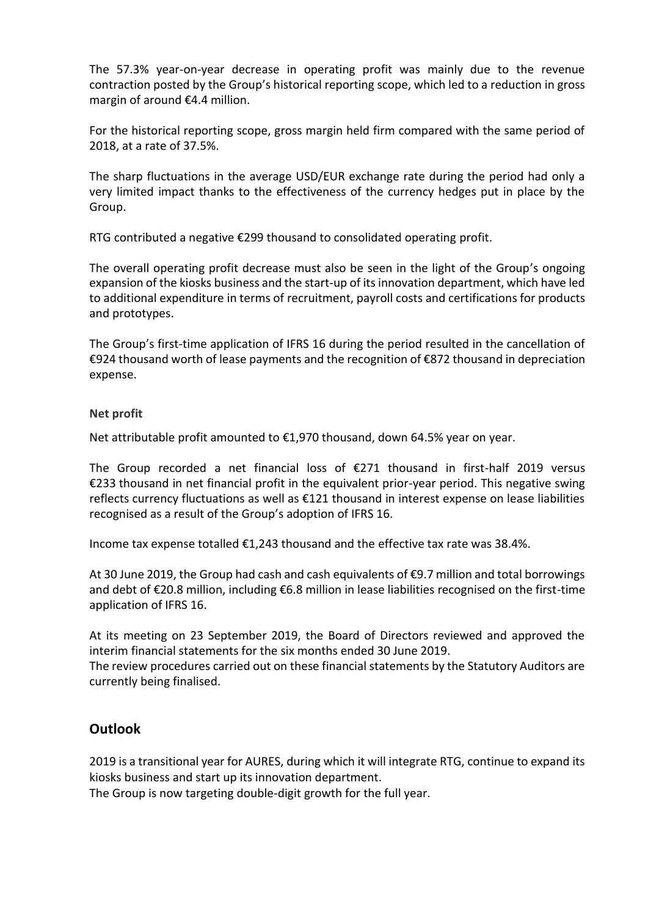The 57.3% year-on-year decrease in operating profit was mainly due to the revenue contraction posted by the Group's historical reporting scope, which led to a reduction in gross margin of around €4.4 million.

For the historical reporting scope, gross margin held firm compared with the same period of 2018, at a rate of 37.5%.

The sharp fluctuations in the average USD/EUR exchange rate during the period had only a very limited impact thanks to the effectiveness of the currency hedges put in place by the Group.

RTG contributed a negative €299 thousand to consolidated operating profit.

The overall operating profit decrease must also be seen in the light of the Group's ongoing expansion of the kiosks business and the start-up of its innovation department, which have led to additional expenditure in terms of recruitment, payroll costs and certifications for products and prototypes.

The Group's first-time application of IFRS 16 during the period resulted in the cancellation of €924 thousand worth of lease payments and the recognition of €872 thousand in depreciation expense.

#### **Net profit**

Net attributable profit amounted to €1,970 thousand, down 64.5% year on year.

The Group recorded a net financial loss of  $\epsilon$ 271 thousand in first-half 2019 versus €233 thousand in net financial profit in the equivalent prior-year period. This negative swing reflects currency fluctuations as well as €121 thousand in interest expense on lease liabilities recognised as a result of the Group's adoption of IFRS 16.

Income tax expense totalled  $E1,243$  thousand and the effective tax rate was 38.4%.

At 30 June 2019, the Group had cash and cash equivalents of €9.7 million and total borrowings and debt of €20.8 million, including €6.8 million in lease liabilities recognised on the first-time application of IFRS 16.

At its meeting on 23 September 2019, the Board of Directors reviewed and approved the interim financial statements for the six months ended 30 June 2019.

The review procedures carried out on these financial statements by the Statutory Auditors are currently being finalised.

# **Outlook**

2019 is a transitional year for AURES, during which it will integrate RTG, continue to expand its kiosks business and start up its innovation department.

The Group is now targeting double-digit growth for the full year.